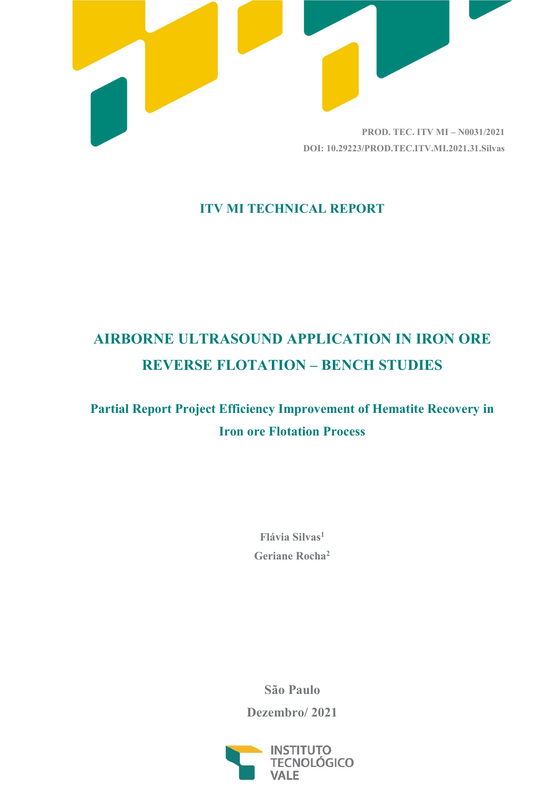

### ITV MI TECHNICAL REPORT

# AIRBORNE ULTRASOUND APPLICATION IN IRON ORE REVERSE FLOTATION – BENCH STUDIES

## Partial Report Project Efficiency Improvement of Hematite Recovery in Iron ore Flotation Process

Flávia Silvas<sup>1</sup> Geriane Rocha<sup>2</sup>

São Paulo

Dezembro/ 2021

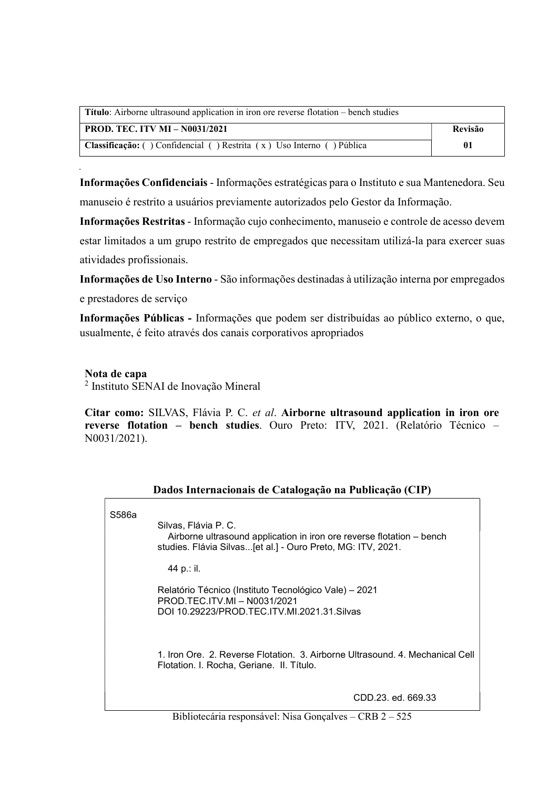| <b>Título:</b> Airborne ultrasound application in iron ore reverse flotation – bench studies |                |
|----------------------------------------------------------------------------------------------|----------------|
| <b>PROD. TEC. ITV MI - N0031/2021</b>                                                        | <b>Revisão</b> |
| Classificação: () Confidencial () Restrita (x) Uso Interno () Pública                        | -01            |

Informações Confidenciais - Informações estratégicas para o Instituto e sua Mantenedora. Seu manuseio é restrito a usuários previamente autorizados pelo Gestor da Informação.

Informações Restritas - Informação cujo conhecimento, manuseio e controle de acesso devem estar limitados a um grupo restrito de empregados que necessitam utilizá-la para exercer suas atividades profissionais.

Informações de Uso Interno - São informações destinadas à utilização interna por empregados

e prestadores de serviço

Informações Públicas - Informações que podem ser distribuídas ao público externo, o que, usualmente, é feito através dos canais corporativos apropriados

#### Nota de capa

2 Instituto SENAI de Inovação Mineral

Citar como: SILVAS, Flávia P. C. et al. Airborne ultrasound application in iron ore reverse flotation – bench studies. Ouro Preto: ITV, 2021. (Relatório Técnico – N0031/2021).

| S586a | Silvas, Flávia P. C.<br>Airborne ultrasound application in iron ore reverse flotation - bench<br>studies. Flávia Silvas[et al.] - Ouro Preto, MG: ITV, 2021. |
|-------|--------------------------------------------------------------------------------------------------------------------------------------------------------------|
|       | 44 p.: il.                                                                                                                                                   |
|       | Relatório Técnico (Instituto Tecnológico Vale) – 2021<br>PROD TEC. ITV. MI - N0031/2021<br>DOI 10.29223/PROD.TEC.ITV.MI.2021.31.Silvas                       |
|       | 1. Iron Ore. 2. Reverse Flotation. 3. Airborne Ultrasound. 4. Mechanical Cell<br>Flotation. I. Rocha, Geriane. II. Título.                                   |
|       | CDD.23. ed. 669.33                                                                                                                                           |

#### Dados Internacionais de Catalogação na Publicação (CIP)

Bibliotecária responsável: Nisa Gonçalves – CRB 2 – 525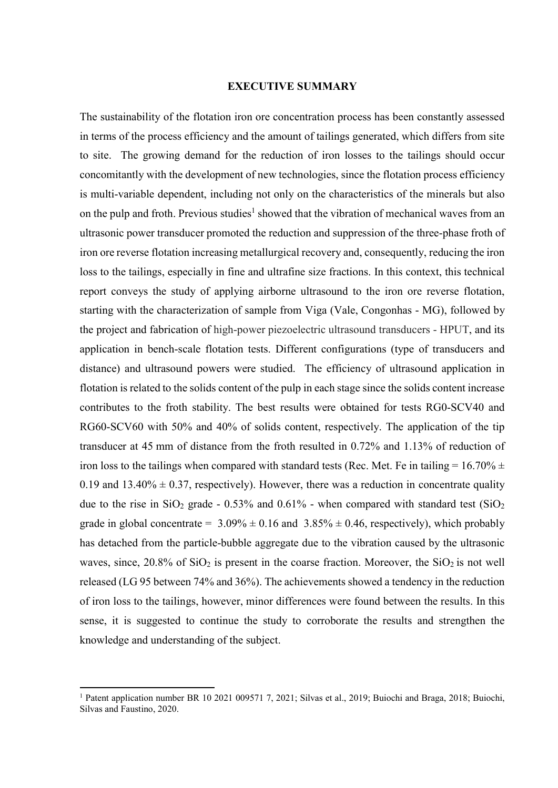#### EXECUTIVE SUMMARY

The sustainability of the flotation iron ore concentration process has been constantly assessed in terms of the process efficiency and the amount of tailings generated, which differs from site to site. The growing demand for the reduction of iron losses to the tailings should occur concomitantly with the development of new technologies, since the flotation process efficiency is multi-variable dependent, including not only on the characteristics of the minerals but also on the pulp and froth. Previous studies<sup>1</sup> showed that the vibration of mechanical waves from an ultrasonic power transducer promoted the reduction and suppression of the three-phase froth of iron ore reverse flotation increasing metallurgical recovery and, consequently, reducing the iron loss to the tailings, especially in fine and ultrafine size fractions. In this context, this technical report conveys the study of applying airborne ultrasound to the iron ore reverse flotation, starting with the characterization of sample from Viga (Vale, Congonhas - MG), followed by the project and fabrication of high-power piezoelectric ultrasound transducers - HPUT, and its application in bench-scale flotation tests. Different configurations (type of transducers and distance) and ultrasound powers were studied. The efficiency of ultrasound application in flotation is related to the solids content of the pulp in each stage since the solids content increase contributes to the froth stability. The best results were obtained for tests RG0-SCV40 and RG60-SCV60 with 50% and 40% of solids content, respectively. The application of the tip transducer at 45 mm of distance from the froth resulted in 0.72% and 1.13% of reduction of iron loss to the tailings when compared with standard tests (Rec. Met. Fe in tailing =  $16.70\% \pm$ 0.19 and 13.40%  $\pm$  0.37, respectively). However, there was a reduction in concentrate quality due to the rise in  $SiO_2$  grade - 0.53% and 0.61% - when compared with standard test  $(SiO_2)$ grade in global concentrate =  $3.09\% \pm 0.16$  and  $3.85\% \pm 0.46$ , respectively), which probably has detached from the particle-bubble aggregate due to the vibration caused by the ultrasonic waves, since,  $20.8\%$  of SiO<sub>2</sub> is present in the coarse fraction. Moreover, the SiO<sub>2</sub> is not well released (LG 95 between 74% and 36%). The achievements showed a tendency in the reduction of iron loss to the tailings, however, minor differences were found between the results. In this sense, it is suggested to continue the study to corroborate the results and strengthen the knowledge and understanding of the subject.

-

<sup>&</sup>lt;sup>1</sup> Patent application number BR 10 2021 009571 7, 2021; Silvas et al., 2019; Buiochi and Braga, 2018; Buiochi, Silvas and Faustino, 2020.